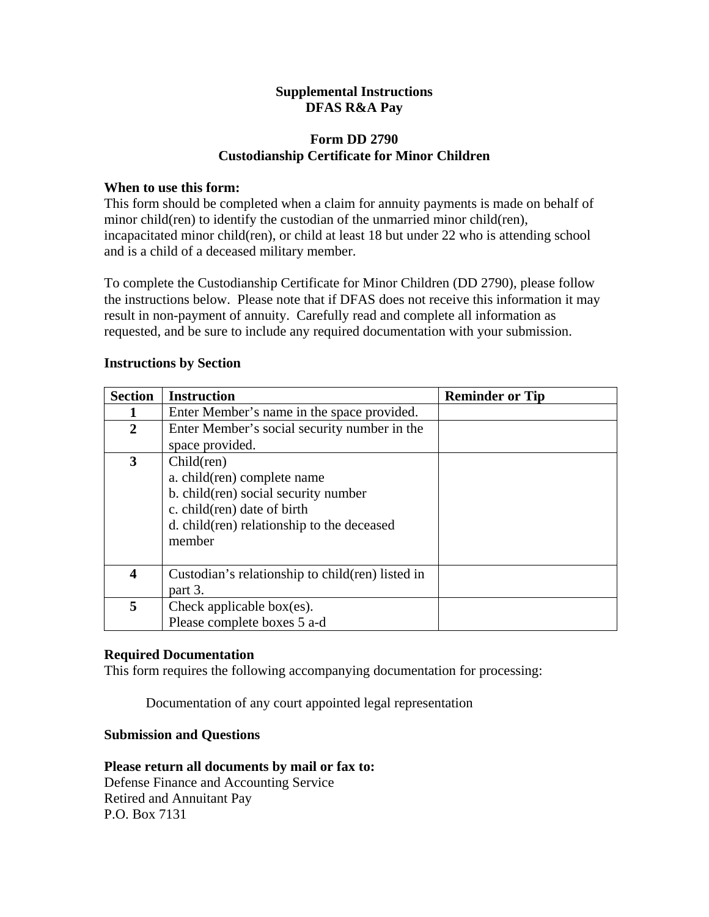## **Supplemental Instructions DFAS R&A Pay**

# **Form DD 2790 Custodianship Certificate for Minor Children**

## **When to use this form:**

This form should be completed when a claim for annuity payments is made on behalf of minor child(ren) to identify the custodian of the unmarried minor child(ren), incapacitated minor child(ren), or child at least 18 but under 22 who is attending school and is a child of a deceased military member.

To complete the Custodianship Certificate for Minor Children (DD 2790), please follow the instructions below. Please note that if DFAS does not receive this information it may result in non-payment of annuity. Carefully read and complete all information as requested, and be sure to include any required documentation with your submission.

## **Instructions by Section**

| <b>Section</b>          | <b>Instruction</b>                                | <b>Reminder or Tip</b> |
|-------------------------|---------------------------------------------------|------------------------|
|                         | Enter Member's name in the space provided.        |                        |
| $\mathbf{2}$            | Enter Member's social security number in the      |                        |
|                         | space provided.                                   |                        |
| 3                       | Child(ren)                                        |                        |
|                         | a. child(ren) complete name                       |                        |
|                         | b. child(ren) social security number              |                        |
|                         | c. child(ren) date of birth                       |                        |
|                         | d. child(ren) relationship to the deceased        |                        |
|                         | member                                            |                        |
|                         |                                                   |                        |
| $\overline{\mathbf{4}}$ | Custodian's relationship to child (ren) listed in |                        |
|                         | part 3.                                           |                        |
| 5                       | Check applicable box(es).                         |                        |
|                         | Please complete boxes 5 a-d                       |                        |

### **Required Documentation**

This form requires the following accompanying documentation for processing:

Documentation of any court appointed legal representation

### **Submission and Questions**

#### **Please return all documents by mail or fax to:**  Defense Finance and Accounting Service

Retired and Annuitant Pay P.O. Box 7131